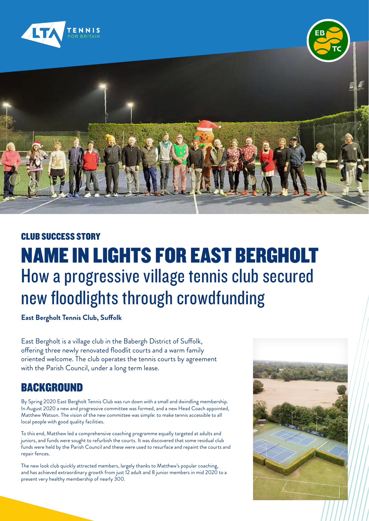



#### CLUB SUCCESS STORY

## NAME IN LIGHTS FOR EAST BERGHOLT How a progressive village tennis club secured new floodlights through crowdfunding

**East Bergholt Tennis Club, Suffolk**

East Bergholt is a village club in the Babergh District of Suffolk, offering three newly renovated floodlit courts and a warm family oriented welcome. The club operates the tennis courts by agreement with the Parish Council, under a long term lease.

### BACKGROUND

By Spring 2020 East Bergholt Tennis Club was run down with a small and dwindling membership. In August 2020 a new and progressive committee was formed, and a new Head Coach appointed, Matthew Watson. The vision of the new committee was simple: to make tennis accessible to all local people with good quality facilities.

To this end, Matthew led a comprehensive coaching programme equally targeted at adults and juniors, and funds were sought to refurbish the courts. It was discovered that some residual club funds were held by the Parish Council and these were used to resurface and repaint the courts and repair fences.

The new look club quickly attracted members, largely thanks to Matthew's popular coaching, and has achieved extraordinary growth from just 12 adult and 8 junior members in mid 2020 to a present very healthy membership of nearly 300.